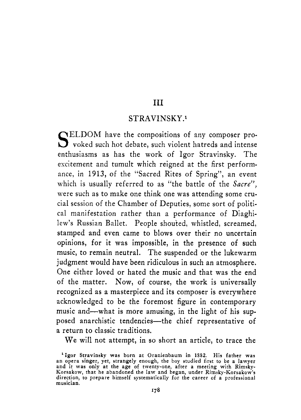#### **111**

#### STRAVINSKY **.l**

SELDOM have the compositions of any composer pro-<br>S voked such hot debate, such violent hatreds and intense enthusiasms as has the work of Igor Stravinsky. The escitement and tumult which reigned at the first performance, in 1913, of the "Sacred Rites of Spring", an event which is usually referred to as "the battle of the *Sacre",*  were such as to make one think one was attending some crucial session of the Chamber of Deputies, some sort of political manifestation rather than a performance of Diaghilew's Russian Ballet. People shouted, whistled, screamed, stamped and even came to blows over their no uncertain opinions, for it was impossible, in the presence of such music, to remain neutral. The suspended or the lukewarm judgment would have been ridiculous in such an atmosphere. One either loved or hated the music and that was the end of the matter. Now, of course, the work is universally recognized as a masterpiece and its composer is everywhere acknowledged to be the foremost figure in contemporary music and—what is more amusing, in the light of his supposed anarchistic tendencies-the chief representative of a return to classic traditions.

We will not attempt, in so short an article, to trace the

**<sup>&#</sup>x27;Igor Stfavinsky was born at Oranienbaum in 1882. His father was an opera singer, yet, strangely enough, the boy studied first to be a lawyer**  and it was only at the age of twenty-one, after a meeting with Rimsky-<br>Korsakow, that he abandoned the law and began, under Rimsky-Korsakow's<br>direction, to prepare himself systematically for the career of a professional **musician.**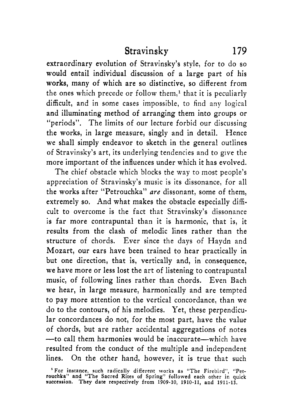extraordinary evolution of Stravinsky's style, for to do so would entail individual discussion of a large part of his **works,** many of which are so distinctive, so different from the ones which precede or follow them,<sup>1</sup> that it is peculiarly difficult, and in some cases impossible, to find any logical and illuminating method of arranging them into groups or "periods". The limits of our lecture forbid our discussing the works, in large measure, singly and in detail. Hence we shall simply endeavor to sketch in the general outlines of Stravinsky's art, its underlying tendencies and to give the more important of the influences under which it has evolved.

The chief obstacle which blocks the way to most people's appreciation of Stravinsky's music is its dissonance, for all the works after "Petrouchka" *me* dissonant, some of them, extremely so. And what makes the obstacle especially difficult to overcome is the fact that Stravinsky's dissonance is far more contrapuntal than it is harmonic, that is, it results from the clash of melodic lines rather than the structure of chords. Ever since the days of Haydn and Mozart, our ears have been trained to hear practically in but one direction, that is, vertically and, in consequence, we have more or less lost the art of listening to contrapuntal music, of following lines rather than chords. Even Bach we hear, in large measure, harmonically and are tempted to pay more attention to the vertical concordance, than we do to the contours, of his melodies. Yet, these perpendicular concordances do not, for the most part, have the value of chords, but are rather accidental aggregations of notes --to call them harmonies would be inaccurate-which have resulted from the conduct of the multiple and independent lines. On the other hand, however, it is true that such

<sup>&#</sup>x27; **For instance, such radically different works as "The** Firebird", "Pet-**rouchka" and "The Sacred Rites** of **Spring" followed each other** in **quick succession. They date respectively from 1909-10, 1910-11, and 1911-13.**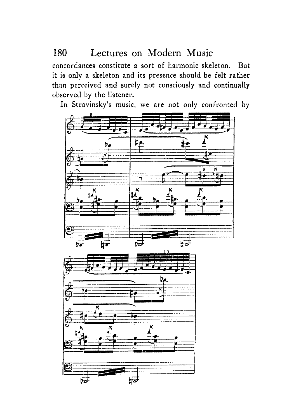concordances constitute a sort of harmonic skeleton. But it is only a skeleton and its presence should be felt rather than perceived and surely not consciously and continually observed by the listener.

In Stravinsky's music, we are not only confronted by

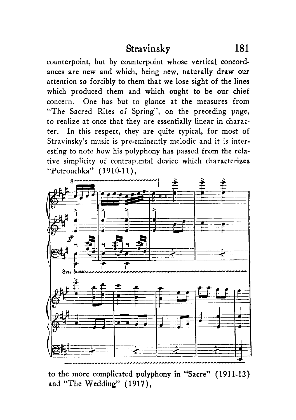counterpoint, but by counterpoint whose vertical concordances are new and which, being new, naturally draw our attention so forcibly to them that we lose sight of the lines which produced them and which ought to be our chief concern. One has but to glance at the measures from "The Sacred Rites of Spring", on the preceding page, to realize at once that they are essentially linear in character. In this respect, they are quite typical, for most **of**  Stravinsky's music is pre-eminently melodic and it is interesting to note how his polyphony has passed from the relative simplicity of contrapuntal device which characterizes "Petrouchka" (1910-11),



to the more complicated polyphony in "Sacre" (191 1-13) and "The Wedding" (1917),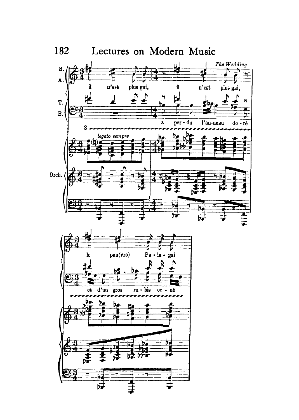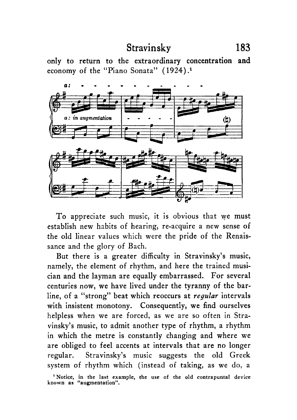only to return to the extraordinary concentration and economy of the "Piano Sonata" ( 1924) **.l** 



To appreciate such music, it **is** obvious that we must establish new habits of hearing, re-acquire a new sense **of**  the old linear values which were the pride of the Renaissance and the glory of Bach.

But there is a greater difficulty in Stravinsky's music, namely, the element of rhythm, and here the trained musician and the layman are equally embarrassed. For several centuries now, we have lived under the tyranny of the barline, of a "strong" beat which reoccurs at *regutar* intervals with insistent monotony. Consequently, we find ourselves helpless when we are forced, as we are so often in Stravinsky's music, to admit another type of rhythm, a rhythm in which the metre is constantly changing and where we are obliged to feel accents at intervals that are no longer regular. Stravinsky's music suggests the old Greek system of rhythm which (instead of taking, as we do, a

**<sup>&#</sup>x27;Notice, in the last example, the use of the old contrapuntal device known as "augmentation".**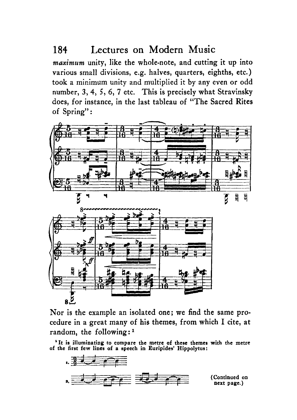maximum unity, like the whole-note, and cutting it up into various small divisions, e.g. halves, quarters, eighths, etc. ) took a minimum unity and multiplied it by any even or odd number, **3,4,** *5,* 6, 7 etc. This is precisely what Stravinsky does, for instance, in the last tableau of "The Sacred Rites of Spring":



Nor is the example an isolated one; we find the same procedure in a great many of his themes, from which I cite, at random, the following:<sup>1</sup>

**'It is illuminating to compare the metre of these themes with the metre of the first few lines of a speech in Euripides' Hippolytus:** 

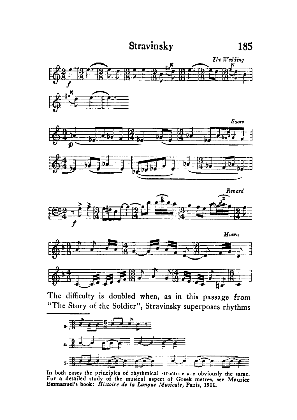









**The difficulty is doubled when, as in this passage from "The Story** of **the Soldier", Stravinsky superposes rhythms** 



**In both cases the principles of rhythmical structure are obviously the same. For a detailed study of the musical aspect of Greek metres, see Maurice Emmanuel's book:** *HiJfoirc de fa* **Langue** *Musicale,* **Paris, 1911.**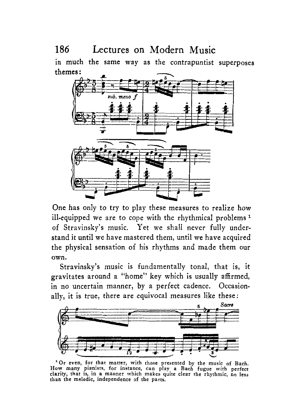in much the same **way** as the contrapuntist superposes themes:



One has only to try to play these measures to realize how ill-equipped we are to cope with the rhythmical problems<sup>1</sup> of Stravinsky's music. Yet we shall never fully understand it until we have mastered them, until we have acquired the physical sensation of his rhythms and made them our own.

Stravinsky's music is fundamentally tonal, that is, it gravitates around a "home" key which is usually affirmed, in no uncertain manner, by a perfect cadence. Occasionally, it is true, there are equivocal measures like these:



<sup>1</sup> Or even, for that matter, with those presented by the music of Bach. **How many pianists, for instance, can play a Bach fugue with perfect clarity, that is, in a manner which makes quite clear the rhythmic, no less than the melodic, independence of the parts.**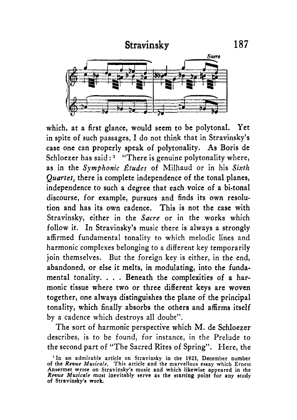

which, at a first glance, would seem to be polytonal. Yet in spite of such passages, I do not think that in Stravinsky's case one can properly speak of polytonality. **As** Boris de Schloezer has said:<sup>1</sup> "There is genuine polytonality where, **as** in the *Symphonic \$tudes* of Milhaud or in his *Sixth Quartet,* there is complete independence of the tonal planes, independence to such a degree that each voice of a bi-tonal discourse, for example, pursues and finds its own resolution and has its own cadence. This is not the case with Stravinsky, either in the *Sacre* or in the works which follow it. In Stravinsky's music there is always a strongly affirmed fundamental tonality to which melodic lines and harmonic complexes belonging to a different key temporarily join themselves. But the foreign key is either, in the end, abandoned, or else it melts, in modulating, into the fundamental tonality. . . . Beneath the complexities of a harmonic tissue where two or three different keys are woven together, one always distinguishes the plane of the principal tonality, which finally absorbs the others and affirms itself by a cadence which destroys all doubt".

The sort of harmonic perspective which M. de Schloezer describes, is to be found, for instance, in the Prelude to the second part of "The Sacred Rites of Spring". Here, the

**<sup>&#</sup>x27;In an admirable article on Stravinsky in the 1923, December number of the** *Revue Musicale.* **This article and the marvellous essay which Ernest Ansermet wrote on Stravinsky's music and which likewise appeared in the**  *Rewue Musicale* **must inevitably serve as the starting point for any study of Stravinsky's work.**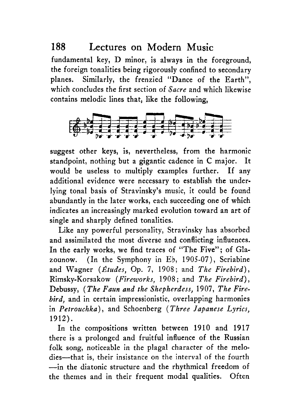fundamental key, D minor, is always in the foreground, the foreign tonalities being rigorously confined to secondary planes. Similarly, the frenzied "Dance of the Earth", which concludes the first section of *Sacre* and which likewise contains melodic lines that, like the following, of the Earth",<br>
and which likewise<br>  $\lim_{n \to \infty}$ 



suggest other keys, is, nevertheless, from the harmonic standpoint, nothing but a gigantic cadence in C major. It would be useless to multiply examples further. If any additional evidence were necessary to establish the underlying tonal basis of Stravinsky's music, it could be found abundantly in the later works, each succeeding one of which indicates an increasingly marked evolution toward an art of single and sharply defined tonalities.

Like any powerful personality, Stravinsky has absorbed and assimilated the most diverse and conflicting influences. In the early works, we find traces of "The Five"; of Glazounow. (In the Symphony in Eb, 1905-07), Scriabine and Wagner *(&tudes,* Op. 7, 1908; and *The Firebird),*  Rimsky-Korsakow *(Fireworks,* <sup>1908</sup>; and *The Firebird)* , Debussy, *(The Faun and the Shepherdess,* 1907, *The Firebird,* and in certain impressionistic, overlapping harmonies in *Petrouchka)* , and Schoenberg ( *Three Japanese Lyrics,*  1912).

In the compositions written between 1910 and 1917 there is a prolonged and fruitful influence of the Russian folk song, noticeable in the plagal character of the melodies---that is, their insistance on the interval of the fourth -in the diatonic structure and the rhythmical freedom of the themes and in their frequent modal qualities. Often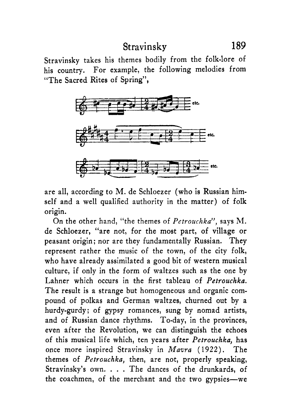Stravinsky takes his themes bodily from the folk-lore of his country. For example, the following melodies from "The Sacred Rites of Spring",



are all, according to M. de Schloezer (who is Russian himself and a well qualified authority in the matter) of folk origin.

On the other hand, "the themes of *Pctrouchka",* says M. de Schloezer, "are not, for the most part, of village or peasant origin; nor are they fundamentally Russian. They represent rather the music of the town, of the city folk, who have already assimilated a good bit of western musical culture, if only in the form of waltzes such as the one by Lahner which occurs in the first tableau of *Petrouchku.*  The result is a strange but homogeneous and organic compound of polkas and German waltzes, churned out by a hurdy-gurdy; of gypsy romances, sung by nomad artists, and of Russian dance rhythms. To-day, in the provinces, even after the Revolution, we can distinguish the echoes of this musical life which, ten years after *Petrouchku,* has once more inspired Stravinsky in *Mavra* **(1922).** The themes of *Petrouchka,* then, are not, properly speaking, Stravinsky's own. . . . The dances of the drunkards, of the coachmen, of the merchant and the two gypsies-we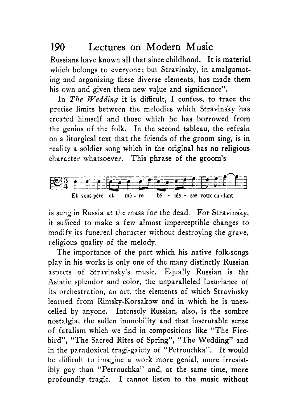Russians have known all that since childhood. It is material which belongs to everyone: but Stravinsky, in amalgamating and organizing these diverse elements, has made them his own and given them new value and significance".

In *The Wedding* it is difficult, I confess, to trace the precise limits between the melodies which Stravinsky has created himself and those which he has borrowed from the genius of the folk. In the second tableau, the refrain on a liturgical text that the friends of the groom sing, is in reality a soldier song which in the original has no religious character whatsoever. This phrase of the groom's



is sung in Russia at the mass for the dead. For Stravinsky, it sufficed to make a few almost imperceptible changes to modify its funereal character without destroying the grave, religious quality of the melody.

The importance of the part which his native folk-songs play in his works is only one of the many distinctly Russian aspects of Stravinsky's music. Equally Russian is the Asiatic splendor and color, the unparalleled luxuriance of its orchestration, an art, the elements of which Stravinsky learned from Rimsky-Korsakow and **in** which he is unexcelled by anyone. Intensely Russian, also, is the sombre nostalgia, the sullen immobility and that inscrutable sense of fatalism which we find in compositions like "The Firebird", "The Sacred Rites of Spring", "The Wedding" and in the paradoxical tragi-gaiety of "Petrouchka". It would be difficult to imagine a work more genial, more irresistibly gay than "Petrouchka" and, at the same time, more profoundly tragic. I cannot listen to the music without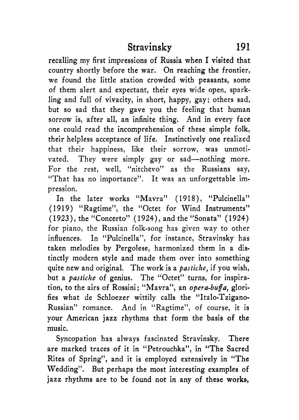recalling my first impressions of Russia when I visited that country shortly before the war. On reaching the frontier, we found the little station crowded with peasants, some of them alert and expectant, their eyes wide open, sparkling and full of vivacity, in short, happy, gay; others sad, but so sad that they gave you the feeling that human sorrow is, after all, an infinite thing. And in every face one could read the incomprehension of these simple folk, their helpless acceptance of life. Instinctively one realized that their happiness, like their sorrow, was unmotivated. They were simply gay or sad-nothing more. For the rest, well, "nitchevo" as the Russians say, "That has no importance". It was an unforgettable impression.

In the later works "Mavra" (1918), "Pulcinella" (1919) "Ragtime", the "Octet for Wind Instruments'' (1923), the "Concerto" (1924), and the "Sonata" (1924) for piano, the Russian folk-song has given way to other influences. In "Pulcinella", for instance, Stravinsky has taken melodies by Pergolese, harmonized them in a distinctly modern style and made them over into something quite new and original. The work is a *pastiche,* if you wish, but a *pastiche* of genius. The "Octet" turns, for inspiration, to the airs of Rossini; "Mavra", an *opera-buffa*, glorifies what de Schloezer wittily calls the "Italo-Tzigano-Russian" romance. And in "Ragtime", of course, it is your American jazz rhythms that form the basis of the music.

Syncopation has always fascinated Stravinsky. There are marked traces of it in "Petrouchka", in "The Sacred Rites of Spring", and it is employed extensively in "The Wedding". But perhaps the most interesting examples of jazz rhythms are to be found not in any of these works,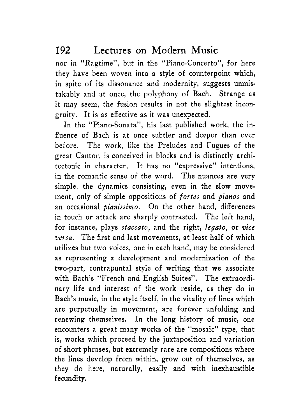nor in "Ragtime", but in the "Piano-Concerto", for here they have been woven into a style of counterpoint which, in spite of its dissonance and modernity, suggests unmistakably and at once, the polyphony of Bach. Strange as it may seem, the fusion results in not the slightest incongruity. It is as effective as it was unexpected.

In the "Piano-Sonata", his last published work, the influence of Bach is at once subtler and deeper than ever before. The work, like the Preludes and Fugues of the great Cantor, is conceived in blocks and is distinctly architectonic in character. It has no "expressive" intentions, in the romantic sense of the word. The nuances are very simple, the dynamics consisting, even in the slow movement, only of simple oppositions of *fortes* and *pianos* and an occasional *pianissimo.* On the other hand, differences in touch or attack are sharply contrasted. The left hand, for instance, plays *staccato,* and the right, *legato,* or *vice versa.* The first and last movements, at least half of which utilizes but two voices, one in each hand, may be considered *as* representing a development and modernization of the two-part, contrapuntal style of writing that we associate with Bach's "French and English Suites". The extraordinary life and interest of the work reside, as they do in Bach's music, in the style itself, in the vitality of lines which are perpetually in movement, are forever unfolding and renewing themselves. In the long history of music, one encounters a great many works of the "mosaic" type, that is, works which proceed by the juxtaposition and variation of short phrases, but extremely rare are compositions where the lines develop from within, grow out of themselves, as they do here, naturally, easily and with inexhaustible fecundity.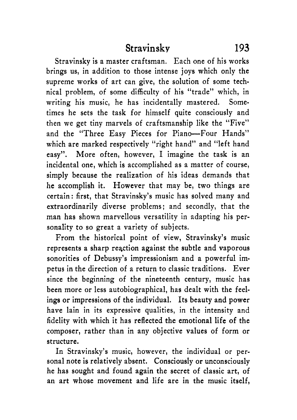Stravinsky is a master craftsman. Each one of his works brings us, in addition to those intense joys which only the supreme works of art can give, the solution of some technical problem, of some difficulty of his "trade" which, in writing his music, he has incidentally mastered. Sometimes he sets the task for himself quite consciously and then we get tiny marvels of craftsmanship like the "Five" and the "Three Easy Pieces for Piano-Four Hands" which are marked respectively "right hand" and "left hand easy". More often, however, I imagine the task is an incidental one, which is accomplished as a matter of course, simply because the realization of his ideas demands that he accomplish it. However that may be, two things are certain: first, that Stravinsky's music has solved many and extraordinarily diverse problems; and secondly, that the man has shown marvellous versatility in adapting his personality to so great a variety of subjects.

From the historical point of view, Stravinsky's music represents a sharp reaction against the subtle and vaporous sonorities of Debussy's impressionism and a powerful impetus in the direction of a return to classic traditions. Ever since the beginning of the nineteenth century, music has been more or less autobiographical, has dealt with the feelings or impressions of the individual. Its beauty and power have lain in its expressive qualities, in the intensity and fidelity with which it has reflected the emotional life of the composer, rather than in any objective values of form or structure.

In Stravinsky's music, however, the individual or personal note is relatively absent. Consciously or unconsciously he has sought and found again the secret of classic art, of an art whose movement and life are in the music itself,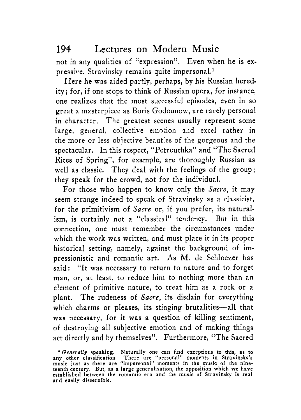not in any qualities of "expression". Even when he is expressive, Stravinsky remains quite impersonal.<sup>1</sup>

Here he was aided partly, perhaps, by his Russian heredity; for, if one stops to think of Russian opera, for instance, one realizes that the most successful episodes, even in so great a masterpiece as Boris Godounow, are rarely personal in character. The greatest scenes usually represent some large, general, collective emotion and excel rather in the more or less objective beauties of the gorgeous and the spectacular. In this respect, "Petrouchka" and "The Sacred Rites of Spring", for example, are thoroughly Russian as well as classic. They deal with the feelings of the group; they speak for the crowd, not for the individual.

For those who happen to know only the *Sacre,* it may seem strange indeed to speak of Stravinsky as a classicist, for the primitivism of *Sucre* or, if you prefer, its naturalism, is certainly not a "classical" tendency. But in this connection, one must remember the circumstances under which the work was written, and must place it in its proper historical setting, namely, against the background of impressionistic and romantic art. **As** M. de Schloezer has said: "It was necessary to return to nature and to forget man, or, at least, to reduce him to nothing more than an element of primitive nature, to treat him as a rock or a plant. The rudeness of *Sacre*, its disdain for everything which charms or pleases, its stinging brutalities-all that was necessary, for it was a question of killing sentiment, of destroying all subjective emotion and of making things act directly and by themselves". Furthermore, "The Sacred

*<sup>&#</sup>x27;Gencrally* **speaking. Naturally one can find exceptions to this, as to any other classification. There are "personal" moments in Stravinsky's music just as there are "impersonal" moments in the music** of **the nine-teenth century. But, as a large generalisation, the opposition which we have established between the romantic era and the music of Stravinsky is real and easily discernible.**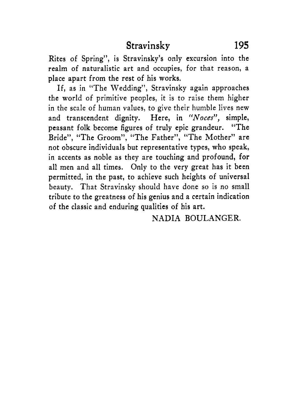Rites of Spring", is Stravinsky's only excursion into the realm of naturalistic art and occupies, for that reason, a place apart from the rest of his works.

If, as in "The Wedding", Stravinsky again approaches the world of primitive peoples, it is to raise them higher in the scale of human values, to give their humble lives new and transcendent dignity. Here, in "Noces", simple, peasant folk become figures of truly epic grandeur. "The Bride", "The Groom", "The Father", "The Mother" are not obscure individuals but representative types, who speak, in accents as noble as they are touching and profound, for all men and all times. Only to the very great has it been permitted, in the past, to achieve such heights of universal beauty. That Stravinsky should have done so is no small tribute to the greatness of his genius and a certain indication of the classic and enduring qualities of his art.

NADIA BOULANGER.